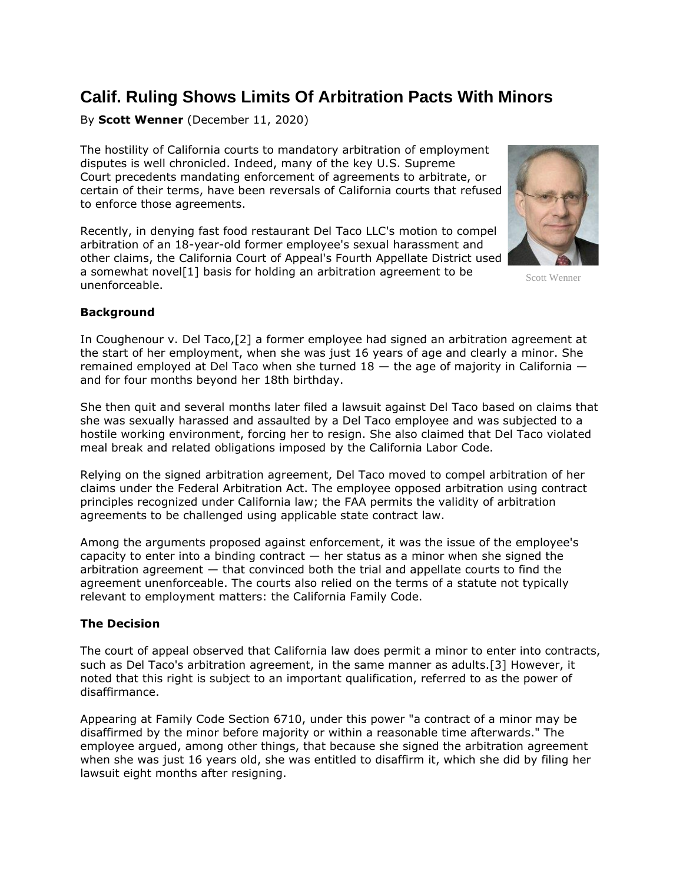## **Calif. Ruling Shows Limits Of Arbitration Pacts With Minors**

By **Scott Wenner** (December 11, 2020)

The hostility of California courts to mandatory arbitration of employment disputes is well chronicled. Indeed, many of the key [U.S. Supreme](https://www.law360.com/agencies/u-s-supreme-court)  [Court](https://www.law360.com/agencies/u-s-supreme-court) precedents mandating enforcement of agreements to arbitrate, or certain of their terms, have been reversals of California courts that refused to enforce those agreements.

Recently, in denying fast food restaurant Del Taco LLC's motion to compel arbitration of an 18-year-old former employee's sexual harassment and other claims, the California Court of Appeal's Fourth Appellate District used a somewhat novel[1] basis for holding an arbitration agreement to be unenforceable.



Scott Wenner

## **Background**

In Coughenour v. Del Taco,[2] a former employee had signed an arbitration agreement at the start of her employment, when she was just 16 years of age and clearly a minor. She remained employed at Del Taco when she turned  $18 -$  the age of majority in California  $$ and for four months beyond her 18th birthday.

She then quit and several months later filed a lawsuit against Del Taco based on claims that she was sexually harassed and assaulted by a Del Taco employee and was subjected to a hostile working environment, forcing her to resign. She also claimed that Del Taco violated meal break and related obligations imposed by the California Labor Code.

Relying on the signed arbitration agreement, Del Taco moved to compel arbitration of her claims under the Federal Arbitration Act. The employee opposed arbitration using contract principles recognized under California law; the FAA permits the validity of arbitration agreements to be challenged using applicable state contract law.

Among the arguments proposed against enforcement, it was the issue of the employee's capacity to enter into a binding contract  $-$  her status as a minor when she signed the arbitration agreement — that convinced both the trial and appellate courts to find the agreement unenforceable. The courts also relied on the terms of a statute not typically relevant to employment matters: the California Family Code.

## **The Decision**

The court of appeal observed that California law does permit a minor to enter into contracts, such as Del Taco's arbitration agreement, in the same manner as adults.[3] However, it noted that this right is subject to an important qualification, referred to as the power of disaffirmance.

Appearing at Family Code Section 6710, under this power "a contract of a minor may be disaffirmed by the minor before majority or within a reasonable time afterwards." The employee argued, among other things, that because she signed the arbitration agreement when she was just 16 years old, she was entitled to disaffirm it, which she did by filing her lawsuit eight months after resigning.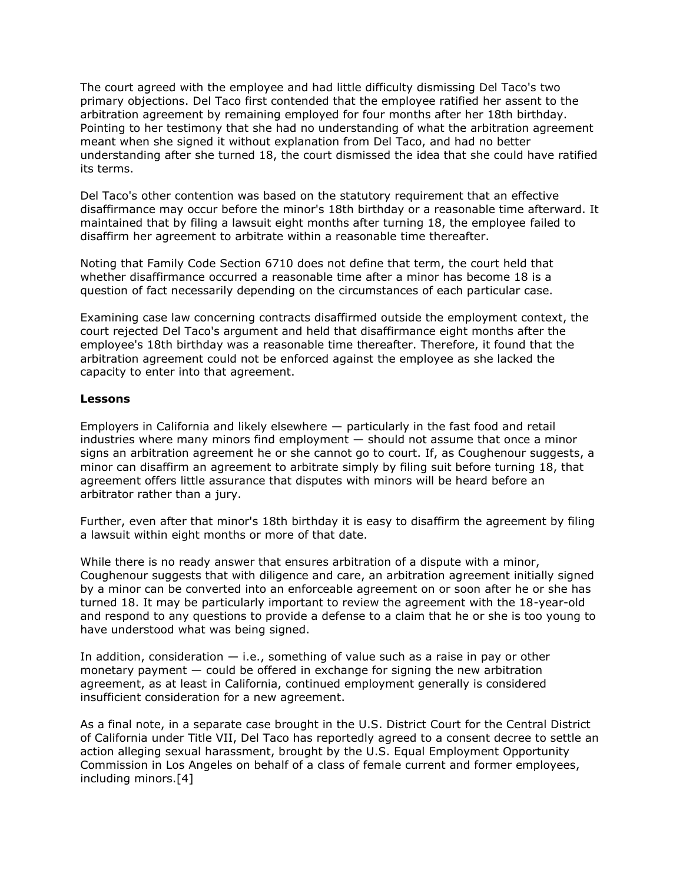The court agreed with the employee and had little difficulty dismissing Del Taco's two primary objections. Del Taco first contended that the employee ratified her assent to the arbitration agreement by remaining employed for four months after her 18th birthday. Pointing to her testimony that she had no understanding of what the arbitration agreement meant when she signed it without explanation from Del Taco, and had no better understanding after she turned 18, the court dismissed the idea that she could have ratified its terms.

Del Taco's other contention was based on the statutory requirement that an effective disaffirmance may occur before the minor's 18th birthday or a reasonable time afterward. It maintained that by filing a lawsuit eight months after turning 18, the employee failed to disaffirm her agreement to arbitrate within a reasonable time thereafter.

Noting that Family Code Section 6710 does not define that term, the court held that whether disaffirmance occurred a reasonable time after a minor has become 18 is a question of fact necessarily depending on the circumstances of each particular case.

Examining case law concerning contracts disaffirmed outside the employment context, the court rejected Del Taco's argument and held that disaffirmance eight months after the employee's 18th birthday was a reasonable time thereafter. Therefore, it found that the arbitration agreement could not be enforced against the employee as she lacked the capacity to enter into that agreement.

## **Lessons**

Employers in California and likely elsewhere — particularly in the fast food and retail industries where many minors find employment — should not assume that once a minor signs an arbitration agreement he or she cannot go to court. If, as Coughenour suggests, a minor can disaffirm an agreement to arbitrate simply by filing suit before turning 18, that agreement offers little assurance that disputes with minors will be heard before an arbitrator rather than a jury.

Further, even after that minor's 18th birthday it is easy to disaffirm the agreement by filing a lawsuit within eight months or more of that date.

While there is no ready answer that ensures arbitration of a dispute with a minor, Coughenour suggests that with diligence and care, an arbitration agreement initially signed by a minor can be converted into an enforceable agreement on or soon after he or she has turned 18. It may be particularly important to review the agreement with the 18-year-old and respond to any questions to provide a defense to a claim that he or she is too young to have understood what was being signed.

In addition, consideration  $-$  i.e., something of value such as a raise in pay or other monetary payment — could be offered in exchange for signing the new arbitration agreement, as at least in California, continued employment generally is considered insufficient consideration for a new agreement.

As a final note, in a separate case brought in the [U.S. District Court for the Central District](https://www.law360.com/agencies/u-s-district-court-for-the-central-district-of-california)  [of California](https://www.law360.com/agencies/u-s-district-court-for-the-central-district-of-california) under Title VII, Del Taco has reportedly [agreed to](https://www.law360.com/articles/1333532/del-taco-inks-1-25m-deal-ending-eeoc-sex-harassment-suit) a consent decree to settle an action alleging sexual harassment, brought by the [U.S. Equal Employment Opportunity](https://www.law360.com/agencies/equal-employment-opportunity-commission)  [Commission](https://www.law360.com/agencies/equal-employment-opportunity-commission) in Los Angeles on behalf of a class of female current and former employees, including minors.[4]